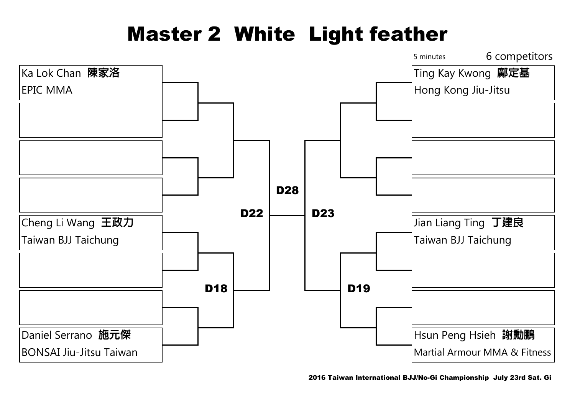### Master 2 White Light feather

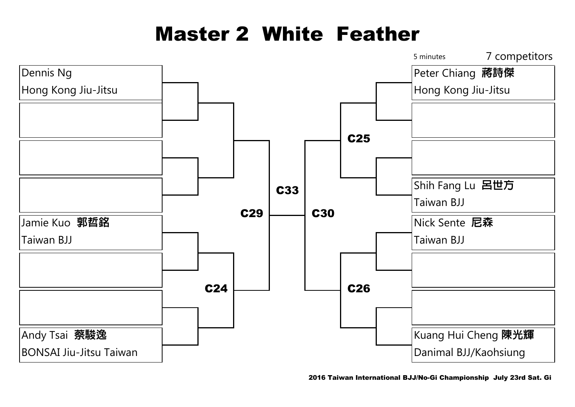## Master 2 White Feather

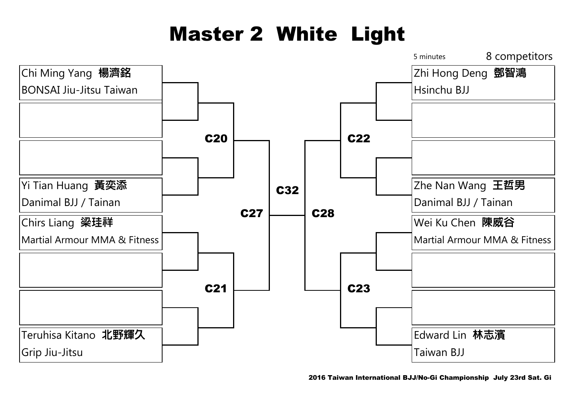# Master 2 White Light

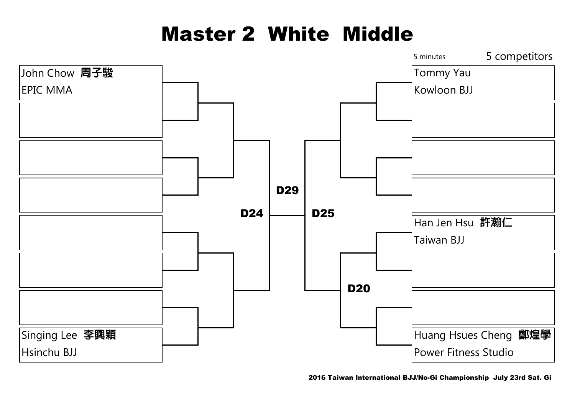## Master 2 White Middle

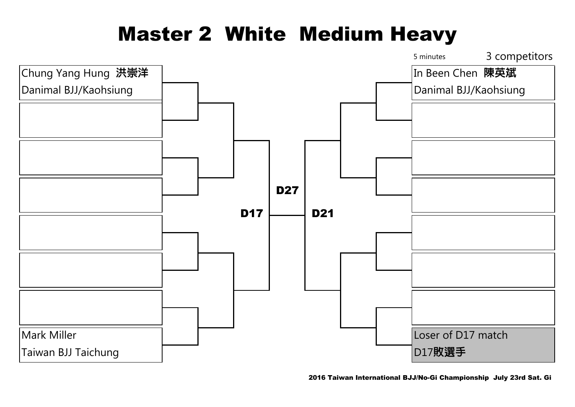### Master 2 White Medium Heavy

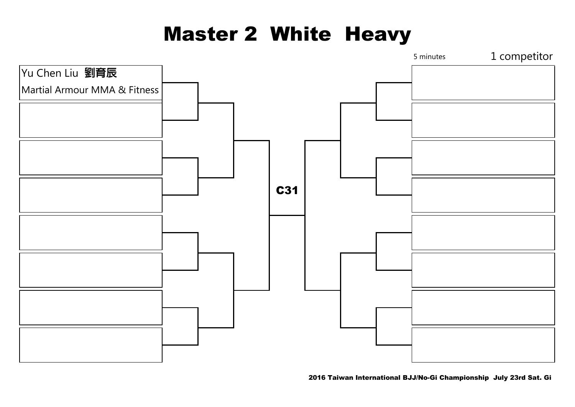### Master 2 White Heavy